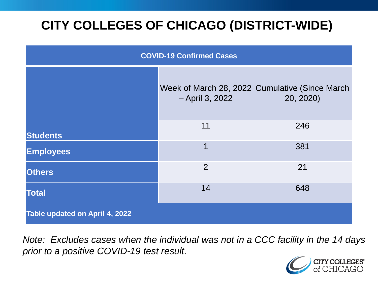# **CITY COLLEGES OF CHICAGO (DISTRICT-WIDE)**

| <b>COVID-19 Confirmed Cases</b> |                 |                                                             |
|---------------------------------|-----------------|-------------------------------------------------------------|
|                                 | - April 3, 2022 | Week of March 28, 2022 Cumulative (Since March<br>20, 2020) |
| <b>Students</b>                 | 11              | 246                                                         |
| <b>Employees</b>                | 1               | 381                                                         |
| <b>Others</b>                   | 2               | 21                                                          |
| <b>Total</b>                    | 14              | 648                                                         |
| Table updated on April 4, 2022  |                 |                                                             |

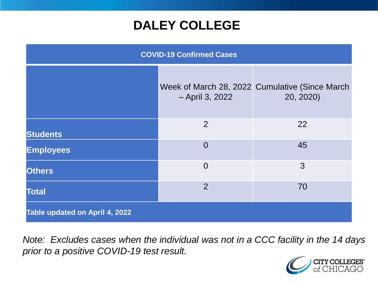### **DALEY COLLEGE**

| <b>COVID-19 Confirmed Cases</b> |                 |                                                             |
|---------------------------------|-----------------|-------------------------------------------------------------|
|                                 | - April 3, 2022 | Week of March 28, 2022 Cumulative (Since March<br>20, 2020) |
| <b>Students</b>                 | 2               | 22                                                          |
| <b>Employees</b>                | $\Omega$        | 45                                                          |
| <b>Others</b>                   | $\overline{0}$  | 3                                                           |
| <b>Total</b>                    | $\overline{2}$  | 70                                                          |
| Table updated on April 4, 2022  |                 |                                                             |

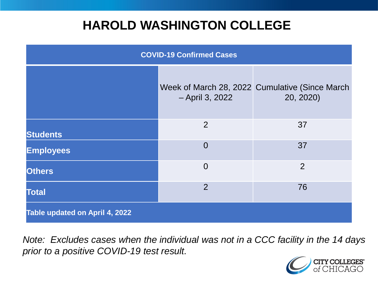### **HAROLD WASHINGTON COLLEGE**

| <b>COVID-19 Confirmed Cases</b> |                 |                                                             |
|---------------------------------|-----------------|-------------------------------------------------------------|
|                                 | - April 3, 2022 | Week of March 28, 2022 Cumulative (Since March<br>20, 2020) |
| <b>Students</b>                 | 2               | 37                                                          |
| <b>Employees</b>                | $\Omega$        | 37                                                          |
| <b>Others</b>                   | $\overline{0}$  | $\overline{2}$                                              |
| <b>Total</b>                    | 2               | 76                                                          |
| Table updated on April 4, 2022  |                 |                                                             |

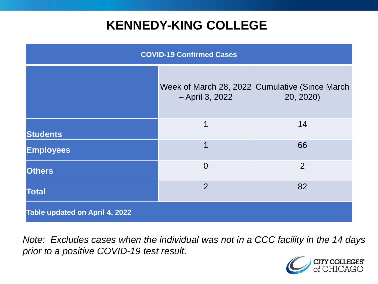### **KENNEDY-KING COLLEGE**

| <b>COVID-19 Confirmed Cases</b> |                 |                                                             |
|---------------------------------|-----------------|-------------------------------------------------------------|
|                                 | - April 3, 2022 | Week of March 28, 2022 Cumulative (Since March<br>20, 2020) |
| <b>Students</b>                 | 1               | 14                                                          |
| <b>Employees</b>                | 1               | 66                                                          |
| <b>Others</b>                   | $\overline{0}$  | 2                                                           |
| <b>Total</b>                    | 2               | 82                                                          |
| Table updated on April 4, 2022  |                 |                                                             |

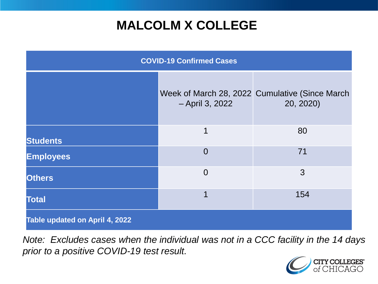## **MALCOLM X COLLEGE**

| <b>COVID-19 Confirmed Cases</b> |                 |                                                             |
|---------------------------------|-----------------|-------------------------------------------------------------|
|                                 | - April 3, 2022 | Week of March 28, 2022 Cumulative (Since March<br>20, 2020) |
| <b>Students</b>                 | $\mathbf 1$     | 80                                                          |
| <b>Employees</b>                | $\overline{0}$  | 71                                                          |
| <b>Others</b>                   | $\overline{0}$  | 3                                                           |
| <b>Total</b>                    | 1               | 154                                                         |
| Table updated on April 4, 2022  |                 |                                                             |

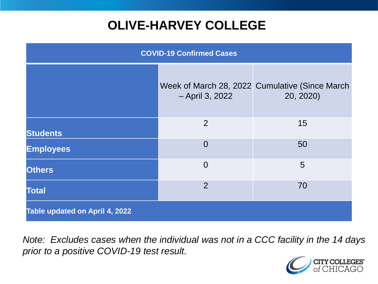# **OLIVE-HARVEY COLLEGE**

| <b>COVID-19 Confirmed Cases</b> |                 |                                                             |
|---------------------------------|-----------------|-------------------------------------------------------------|
|                                 | - April 3, 2022 | Week of March 28, 2022 Cumulative (Since March<br>20, 2020) |
| <b>Students</b>                 | $\overline{2}$  | 15                                                          |
| <b>Employees</b>                | $\Omega$        | 50                                                          |
| <b>Others</b>                   | $\overline{0}$  | 5                                                           |
| <b>Total</b>                    | 2               | 70                                                          |
| Table updated on April 4, 2022  |                 |                                                             |

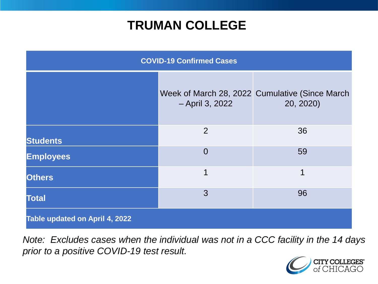### **TRUMAN COLLEGE**

| <b>COVID-19 Confirmed Cases</b> |                 |                                                             |
|---------------------------------|-----------------|-------------------------------------------------------------|
|                                 | - April 3, 2022 | Week of March 28, 2022 Cumulative (Since March<br>20, 2020) |
| <b>Students</b>                 | $\overline{2}$  | 36                                                          |
| <b>Employees</b>                | $\overline{0}$  | 59                                                          |
| <b>Others</b>                   | 1               | 1                                                           |
| <b>Total</b>                    | 3               | 96                                                          |
| Table updated on April 4, 2022  |                 |                                                             |

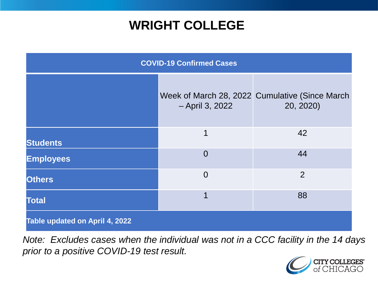### **WRIGHT COLLEGE**

| <b>COVID-19 Confirmed Cases</b> |                 |                                                             |
|---------------------------------|-----------------|-------------------------------------------------------------|
|                                 | - April 3, 2022 | Week of March 28, 2022 Cumulative (Since March<br>20, 2020) |
| <b>Students</b>                 | 1               | 42                                                          |
| <b>Employees</b>                | $\overline{0}$  | 44                                                          |
| <b>Others</b>                   | $\overline{0}$  | $\overline{2}$                                              |
| <b>Total</b>                    | 1               | 88                                                          |
| Table updated on April 4, 2022  |                 |                                                             |

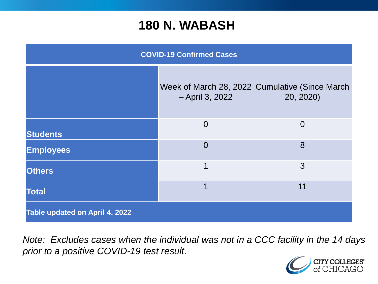#### **180 N. WABASH**

| <b>COVID-19 Confirmed Cases</b> |                 |                                                             |
|---------------------------------|-----------------|-------------------------------------------------------------|
|                                 | - April 3, 2022 | Week of March 28, 2022 Cumulative (Since March<br>20, 2020) |
| <b>Students</b>                 | $\overline{0}$  | $\overline{0}$                                              |
| <b>Employees</b>                | $\Omega$        | 8                                                           |
| <b>Others</b>                   | 1               | 3                                                           |
| <b>Total</b>                    | 1               | 11                                                          |
| Table updated on April 4, 2022  |                 |                                                             |